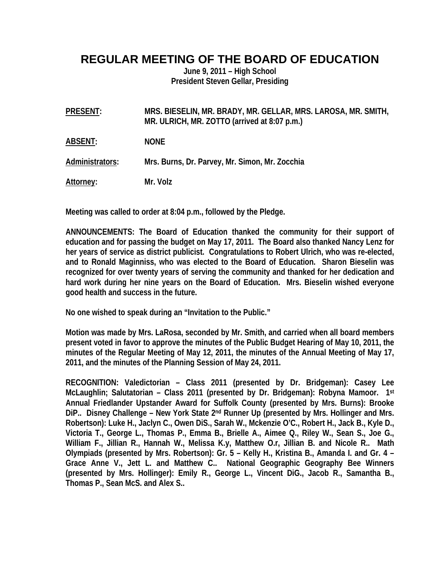# **REGULAR MEETING OF THE BOARD OF EDUCATION**

**June 9, 2011 – High School President Steven Gellar, Presiding** 

**PRESENT: MRS. BIESELIN, MR. BRADY, MR. GELLAR, MRS. LAROSA, MR. SMITH, MR. ULRICH, MR. ZOTTO (arrived at 8:07 p.m.)** 

**ABSENT: NONE** 

**Administrators: Mrs. Burns, Dr. Parvey, Mr. Simon, Mr. Zocchia** 

**Attorney: Mr. Volz** 

**Meeting was called to order at 8:04 p.m., followed by the Pledge.** 

**ANNOUNCEMENTS: The Board of Education thanked the community for their support of education and for passing the budget on May 17, 2011. The Board also thanked Nancy Lenz for her years of service as district publicist. Congratulations to Robert Ulrich, who was re-elected, and to Ronald Maginniss, who was elected to the Board of Education. Sharon Bieselin was recognized for over twenty years of serving the community and thanked for her dedication and hard work during her nine years on the Board of Education. Mrs. Bieselin wished everyone good health and success in the future.** 

**No one wished to speak during an "Invitation to the Public."** 

**Motion was made by Mrs. LaRosa, seconded by Mr. Smith, and carried when all board members present voted in favor to approve the minutes of the Public Budget Hearing of May 10, 2011, the minutes of the Regular Meeting of May 12, 2011, the minutes of the Annual Meeting of May 17, 2011, and the minutes of the Planning Session of May 24, 2011.** 

**RECOGNITION: Valedictorian – Class 2011 (presented by Dr. Bridgeman): Casey Lee McLaughlin; Salutatorian – Class 2011 (presented by Dr. Bridgeman): Robyna Mamoor. 1st Annual Friedlander Upstander Award for Suffolk County (presented by Mrs. Burns): Brooke DiP.. Disney Challenge – New York State 2nd Runner Up (presented by Mrs. Hollinger and Mrs. Robertson): Luke H., Jaclyn C., Owen DiS., Sarah W., Mckenzie O'C., Robert H., Jack B., Kyle D., Victoria T., George L., Thomas P., Emma B., Brielle A., Aimee Q., Riley W., Sean S., Joe G., William F., Jillian R., Hannah W., Melissa K.y, Matthew O.r, Jillian B. and Nicole R.. Math Olympiads (presented by Mrs. Robertson): Gr. 5 – Kelly H., Kristina B., Amanda I. and Gr. 4 – Grace Anne V., Jett L. and Matthew C.. National Geographic Geography Bee Winners (presented by Mrs. Hollinger): Emily R., George L., Vincent DiG., Jacob R., Samantha B., Thomas P., Sean McS. and Alex S..**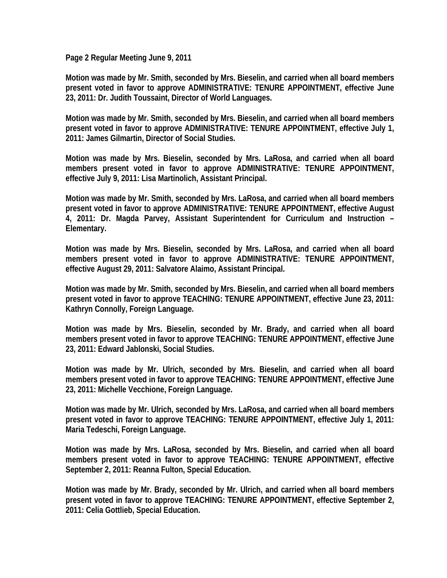**Page 2 Regular Meeting June 9, 2011** 

**Motion was made by Mr. Smith, seconded by Mrs. Bieselin, and carried when all board members present voted in favor to approve ADMINISTRATIVE: TENURE APPOINTMENT, effective June 23, 2011: Dr. Judith Toussaint, Director of World Languages.** 

**Motion was made by Mr. Smith, seconded by Mrs. Bieselin, and carried when all board members present voted in favor to approve ADMINISTRATIVE: TENURE APPOINTMENT, effective July 1, 2011: James Gilmartin, Director of Social Studies.** 

**Motion was made by Mrs. Bieselin, seconded by Mrs. LaRosa, and carried when all board members present voted in favor to approve ADMINISTRATIVE: TENURE APPOINTMENT, effective July 9, 2011: Lisa Martinolich, Assistant Principal.** 

**Motion was made by Mr. Smith, seconded by Mrs. LaRosa, and carried when all board members present voted in favor to approve ADMINISTRATIVE: TENURE APPOINTMENT, effective August 4, 2011: Dr. Magda Parvey, Assistant Superintendent for Curriculum and Instruction – Elementary.** 

**Motion was made by Mrs. Bieselin, seconded by Mrs. LaRosa, and carried when all board members present voted in favor to approve ADMINISTRATIVE: TENURE APPOINTMENT, effective August 29, 2011: Salvatore Alaimo, Assistant Principal.** 

**Motion was made by Mr. Smith, seconded by Mrs. Bieselin, and carried when all board members present voted in favor to approve TEACHING: TENURE APPOINTMENT, effective June 23, 2011: Kathryn Connolly, Foreign Language.** 

**Motion was made by Mrs. Bieselin, seconded by Mr. Brady, and carried when all board members present voted in favor to approve TEACHING: TENURE APPOINTMENT, effective June 23, 2011: Edward Jablonski, Social Studies.** 

**Motion was made by Mr. Ulrich, seconded by Mrs. Bieselin, and carried when all board members present voted in favor to approve TEACHING: TENURE APPOINTMENT, effective June 23, 2011: Michelle Vecchione, Foreign Language.** 

**Motion was made by Mr. Ulrich, seconded by Mrs. LaRosa, and carried when all board members present voted in favor to approve TEACHING: TENURE APPOINTMENT, effective July 1, 2011: Maria Tedeschi, Foreign Language.** 

**Motion was made by Mrs. LaRosa, seconded by Mrs. Bieselin, and carried when all board members present voted in favor to approve TEACHING: TENURE APPOINTMENT, effective September 2, 2011: Reanna Fulton, Special Education.** 

**Motion was made by Mr. Brady, seconded by Mr. Ulrich, and carried when all board members present voted in favor to approve TEACHING: TENURE APPOINTMENT, effective September 2, 2011: Celia Gottlieb, Special Education.**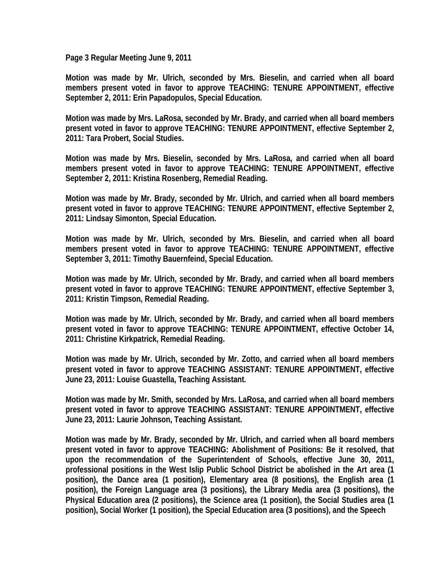**Page 3 Regular Meeting June 9, 2011** 

**Motion was made by Mr. Ulrich, seconded by Mrs. Bieselin, and carried when all board members present voted in favor to approve TEACHING: TENURE APPOINTMENT, effective September 2, 2011: Erin Papadopulos, Special Education.** 

**Motion was made by Mrs. LaRosa, seconded by Mr. Brady, and carried when all board members present voted in favor to approve TEACHING: TENURE APPOINTMENT, effective September 2, 2011: Tara Probert, Social Studies.** 

**Motion was made by Mrs. Bieselin, seconded by Mrs. LaRosa, and carried when all board members present voted in favor to approve TEACHING: TENURE APPOINTMENT, effective September 2, 2011: Kristina Rosenberg, Remedial Reading.** 

**Motion was made by Mr. Brady, seconded by Mr. Ulrich, and carried when all board members present voted in favor to approve TEACHING: TENURE APPOINTMENT, effective September 2, 2011: Lindsay Simonton, Special Education.** 

**Motion was made by Mr. Ulrich, seconded by Mrs. Bieselin, and carried when all board members present voted in favor to approve TEACHING: TENURE APPOINTMENT, effective September 3, 2011: Timothy Bauernfeind, Special Education.** 

**Motion was made by Mr. Ulrich, seconded by Mr. Brady, and carried when all board members present voted in favor to approve TEACHING: TENURE APPOINTMENT, effective September 3, 2011: Kristin Timpson, Remedial Reading.** 

**Motion was made by Mr. Ulrich, seconded by Mr. Brady, and carried when all board members present voted in favor to approve TEACHING: TENURE APPOINTMENT, effective October 14, 2011: Christine Kirkpatrick, Remedial Reading.** 

**Motion was made by Mr. Ulrich, seconded by Mr. Zotto, and carried when all board members present voted in favor to approve TEACHING ASSISTANT: TENURE APPOINTMENT, effective June 23, 2011: Louise Guastella, Teaching Assistant.** 

**Motion was made by Mr. Smith, seconded by Mrs. LaRosa, and carried when all board members present voted in favor to approve TEACHING ASSISTANT: TENURE APPOINTMENT, effective June 23, 2011: Laurie Johnson, Teaching Assistant.** 

**Motion was made by Mr. Brady, seconded by Mr. Ulrich, and carried when all board members present voted in favor to approve TEACHING: Abolishment of Positions: Be it resolved, that upon the recommendation of the Superintendent of Schools, effective June 30, 2011, professional positions in the West Islip Public School District be abolished in the Art area (1 position), the Dance area (1 position), Elementary area (8 positions), the English area (1 position), the Foreign Language area (3 positions), the Library Media area (3 positions), the Physical Education area (2 positions), the Science area (1 position), the Social Studies area (1 position), Social Worker (1 position), the Special Education area (3 positions), and the Speech**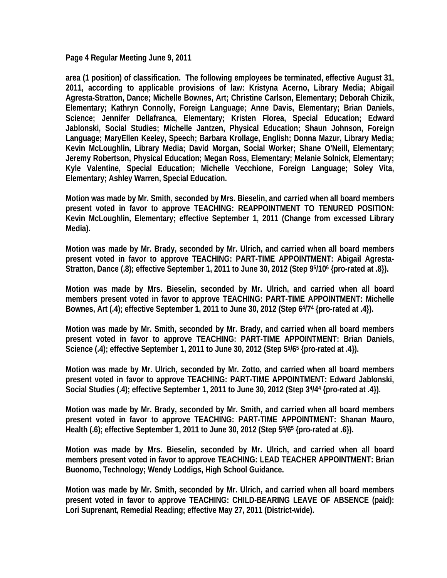**Page 4 Regular Meeting June 9, 2011** 

**area (1 position) of classification. The following employees be terminated, effective August 31, 2011, according to applicable provisions of law: Kristyna Acerno, Library Media; Abigail Agresta-Stratton, Dance; Michelle Bownes, Art; Christine Carlson, Elementary; Deborah Chizik, Elementary; Kathryn Connolly, Foreign Language; Anne Davis, Elementary; Brian Daniels, Science; Jennifer Dellafranca, Elementary; Kristen Florea, Special Education; Edward Jablonski, Social Studies; Michelle Jantzen, Physical Education; Shaun Johnson, Foreign Language; MaryEllen Keeley, Speech; Barbara Krollage, English; Donna Mazur, Library Media; Kevin McLoughlin, Library Media; David Morgan, Social Worker; Shane O'Neill, Elementary; Jeremy Robertson, Physical Education; Megan Ross, Elementary; Melanie Solnick, Elementary; Kyle Valentine, Special Education; Michelle Vecchione, Foreign Language; Soley Vita, Elementary; Ashley Warren, Special Education.** 

**Motion was made by Mr. Smith, seconded by Mrs. Bieselin, and carried when all board members present voted in favor to approve TEACHING: REAPPOINTMENT TO TENURED POSITION: Kevin McLoughlin, Elementary; effective September 1, 2011 (Change from excessed Library Media).** 

**Motion was made by Mr. Brady, seconded by Mr. Ulrich, and carried when all board members present voted in favor to approve TEACHING: PART-TIME APPOINTMENT: Abigail Agresta-Stratton, Dance (.8); effective September 1, 2011 to June 30, 2012 (Step 96/106 {pro-rated at .8}).** 

**Motion was made by Mrs. Bieselin, seconded by Mr. Ulrich, and carried when all board members present voted in favor to approve TEACHING: PART-TIME APPOINTMENT: Michelle Bownes, Art (.4); effective September 1, 2011 to June 30, 2012 (Step 64/74 {pro-rated at .4}).** 

**Motion was made by Mr. Smith, seconded by Mr. Brady, and carried when all board members present voted in favor to approve TEACHING: PART-TIME APPOINTMENT: Brian Daniels, Science (.4); effective September 1, 2011 to June 30, 2012 (Step 55/65 {pro-rated at .4}).** 

**Motion was made by Mr. Ulrich, seconded by Mr. Zotto, and carried when all board members present voted in favor to approve TEACHING: PART-TIME APPOINTMENT: Edward Jablonski, Social Studies (.4); effective September 1, 2011 to June 30, 2012 (Step 34/44 {pro-rated at .4}).** 

**Motion was made by Mr. Brady, seconded by Mr. Smith, and carried when all board members present voted in favor to approve TEACHING: PART-TIME APPOINTMENT: Shanan Mauro, Health (.6); effective September 1, 2011 to June 30, 2012 (Step 55/65 {pro-rated at .6}).** 

**Motion was made by Mrs. Bieselin, seconded by Mr. Ulrich, and carried when all board members present voted in favor to approve TEACHING: LEAD TEACHER APPOINTMENT: Brian Buonomo, Technology; Wendy Loddigs, High School Guidance.** 

**Motion was made by Mr. Smith, seconded by Mr. Ulrich, and carried when all board members present voted in favor to approve TEACHING: CHILD-BEARING LEAVE OF ABSENCE (paid): Lori Suprenant, Remedial Reading; effective May 27, 2011 (District-wide).**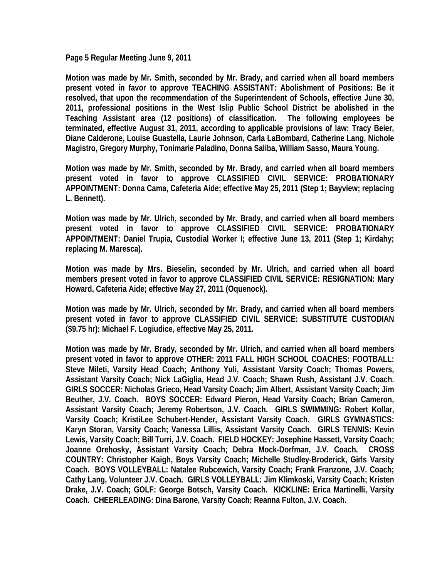**Page 5 Regular Meeting June 9, 2011** 

**Motion was made by Mr. Smith, seconded by Mr. Brady, and carried when all board members present voted in favor to approve TEACHING ASSISTANT: Abolishment of Positions: Be it resolved, that upon the recommendation of the Superintendent of Schools, effective June 30, 2011, professional positions in the West Islip Public School District be abolished in the Teaching Assistant area (12 positions) of classification. The following employees be terminated, effective August 31, 2011, according to applicable provisions of law: Tracy Beier, Diane Calderone, Louise Guastella, Laurie Johnson, Carla LaBombard, Catherine Lang, Nichole Magistro, Gregory Murphy, Tonimarie Paladino, Donna Saliba, William Sasso, Maura Young.** 

**Motion was made by Mr. Smith, seconded by Mr. Brady, and carried when all board members present voted in favor to approve CLASSIFIED CIVIL SERVICE: PROBATIONARY APPOINTMENT: Donna Cama, Cafeteria Aide; effective May 25, 2011 (Step 1; Bayview; replacing L. Bennett).** 

**Motion was made by Mr. Ulrich, seconded by Mr. Brady, and carried when all board members present voted in favor to approve CLASSIFIED CIVIL SERVICE: PROBATIONARY APPOINTMENT: Daniel Trupia, Custodial Worker I; effective June 13, 2011 (Step 1; Kirdahy; replacing M. Maresca).** 

**Motion was made by Mrs. Bieselin, seconded by Mr. Ulrich, and carried when all board members present voted in favor to approve CLASSIFIED CIVIL SERVICE: RESIGNATION: Mary Howard, Cafeteria Aide; effective May 27, 2011 (Oquenock).** 

**Motion was made by Mr. Ulrich, seconded by Mr. Brady, and carried when all board members present voted in favor to approve CLASSIFIED CIVIL SERVICE: SUBSTITUTE CUSTODIAN (\$9.75 hr): Michael F. Logiudice, effective May 25, 2011.** 

**Motion was made by Mr. Brady, seconded by Mr. Ulrich, and carried when all board members present voted in favor to approve OTHER: 2011 FALL HIGH SCHOOL COACHES: FOOTBALL: Steve Mileti, Varsity Head Coach; Anthony Yuli, Assistant Varsity Coach; Thomas Powers, Assistant Varsity Coach; Nick LaGiglia, Head J.V. Coach; Shawn Rush, Assistant J.V. Coach. GIRLS SOCCER: Nicholas Grieco, Head Varsity Coach; Jim Albert, Assistant Varsity Coach; Jim Beuther, J.V. Coach. BOYS SOCCER: Edward Pieron, Head Varsity Coach; Brian Cameron, Assistant Varsity Coach; Jeremy Robertson, J.V. Coach. GIRLS SWIMMING: Robert Kollar, Varsity Coach; KristiLee Schubert-Hender, Assistant Varsity Coach. GIRLS GYMNASTICS: Karyn Storan, Varsity Coach; Vanessa Lillis, Assistant Varsity Coach. GIRLS TENNIS: Kevin Lewis, Varsity Coach; Bill Turri, J.V. Coach. FIELD HOCKEY: Josephine Hassett, Varsity Coach; Joanne Orehosky, Assistant Varsity Coach; Debra Mock-Dorfman, J.V. Coach. CROSS COUNTRY: Christopher Kaigh, Boys Varsity Coach; Michelle Studley-Broderick, Girls Varsity Coach. BOYS VOLLEYBALL: Natalee Rubcewich, Varsity Coach; Frank Franzone, J.V. Coach; Cathy Lang, Volunteer J.V. Coach. GIRLS VOLLEYBALL: Jim Klimkoski, Varsity Coach; Kristen Drake, J.V. Coach; GOLF: George Botsch, Varsity Coach. KICKLINE: Erica Martinelli, Varsity Coach. CHEERLEADING: Dina Barone, Varsity Coach; Reanna Fulton, J.V. Coach.**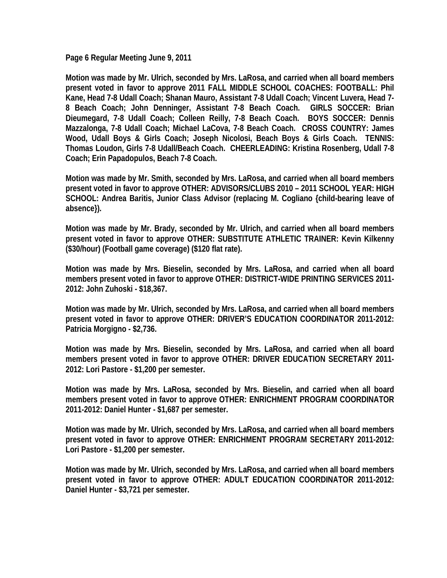**Page 6 Regular Meeting June 9, 2011** 

**Motion was made by Mr. Ulrich, seconded by Mrs. LaRosa, and carried when all board members present voted in favor to approve 2011 FALL MIDDLE SCHOOL COACHES: FOOTBALL: Phil Kane, Head 7-8 Udall Coach; Shanan Mauro, Assistant 7-8 Udall Coach; Vincent Luvera, Head 7- 8 Beach Coach; John Denninger, Assistant 7-8 Beach Coach. GIRLS SOCCER: Brian Dieumegard, 7-8 Udall Coach; Colleen Reilly, 7-8 Beach Coach. BOYS SOCCER: Dennis Mazzalonga, 7-8 Udall Coach; Michael LaCova, 7-8 Beach Coach. CROSS COUNTRY: James Wood, Udall Boys & Girls Coach; Joseph Nicolosi, Beach Boys & Girls Coach. TENNIS: Thomas Loudon, Girls 7-8 Udall/Beach Coach. CHEERLEADING: Kristina Rosenberg, Udall 7-8 Coach; Erin Papadopulos, Beach 7-8 Coach.** 

**Motion was made by Mr. Smith, seconded by Mrs. LaRosa, and carried when all board members present voted in favor to approve OTHER: ADVISORS/CLUBS 2010 – 2011 SCHOOL YEAR: HIGH SCHOOL: Andrea Baritis, Junior Class Advisor (replacing M. Cogliano {child-bearing leave of absence}).** 

**Motion was made by Mr. Brady, seconded by Mr. Ulrich, and carried when all board members present voted in favor to approve OTHER: SUBSTITUTE ATHLETIC TRAINER: Kevin Kilkenny (\$30/hour) (Football game coverage) (\$120 flat rate).** 

**Motion was made by Mrs. Bieselin, seconded by Mrs. LaRosa, and carried when all board members present voted in favor to approve OTHER: DISTRICT-WIDE PRINTING SERVICES 2011- 2012: John Zuhoski - \$18,367.** 

**Motion was made by Mr. Ulrich, seconded by Mrs. LaRosa, and carried when all board members present voted in favor to approve OTHER: DRIVER'S EDUCATION COORDINATOR 2011-2012: Patricia Morgigno - \$2,736.** 

**Motion was made by Mrs. Bieselin, seconded by Mrs. LaRosa, and carried when all board members present voted in favor to approve OTHER: DRIVER EDUCATION SECRETARY 2011- 2012: Lori Pastore - \$1,200 per semester.** 

**Motion was made by Mrs. LaRosa, seconded by Mrs. Bieselin, and carried when all board members present voted in favor to approve OTHER: ENRICHMENT PROGRAM COORDINATOR 2011-2012: Daniel Hunter - \$1,687 per semester.** 

**Motion was made by Mr. Ulrich, seconded by Mrs. LaRosa, and carried when all board members present voted in favor to approve OTHER: ENRICHMENT PROGRAM SECRETARY 2011-2012: Lori Pastore - \$1,200 per semester.** 

**Motion was made by Mr. Ulrich, seconded by Mrs. LaRosa, and carried when all board members present voted in favor to approve OTHER: ADULT EDUCATION COORDINATOR 2011-2012: Daniel Hunter - \$3,721 per semester.**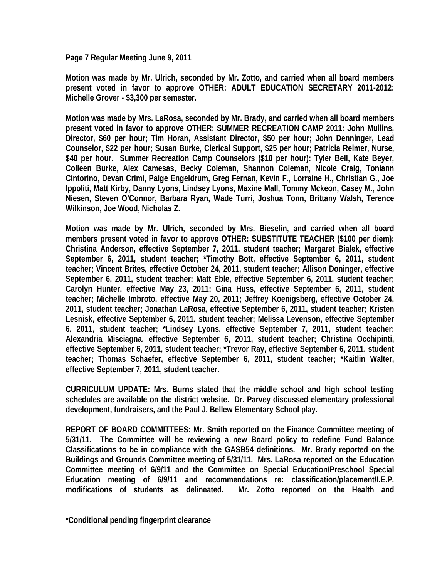**Page 7 Regular Meeting June 9, 2011** 

**Motion was made by Mr. Ulrich, seconded by Mr. Zotto, and carried when all board members present voted in favor to approve OTHER: ADULT EDUCATION SECRETARY 2011-2012: Michelle Grover - \$3,300 per semester.**

**Motion was made by Mrs. LaRosa, seconded by Mr. Brady, and carried when all board members present voted in favor to approve OTHER: SUMMER RECREATION CAMP 2011: John Mullins, Director, \$60 per hour; Tim Horan, Assistant Director, \$50 per hour; John Denninger, Lead Counselor, \$22 per hour; Susan Burke, Clerical Support, \$25 per hour; Patricia Reimer, Nurse, \$40 per hour. Summer Recreation Camp Counselors (\$10 per hour): Tyler Bell, Kate Beyer, Colleen Burke, Alex Camesas, Becky Coleman, Shannon Coleman, Nicole Craig, Toniann Cintorino, Devan Crimi, Paige Engeldrum, Greg Fernan, Kevin F., Lorraine H., Christian G., Joe Ippoliti, Matt Kirby, Danny Lyons, Lindsey Lyons, Maxine Mall, Tommy Mckeon, Casey M., John Niesen, Steven O'Connor, Barbara Ryan, Wade Turri, Joshua Tonn, Brittany Walsh, Terence Wilkinson, Joe Wood, Nicholas Z.** 

**Motion was made by Mr. Ulrich, seconded by Mrs. Bieselin, and carried when all board members present voted in favor to approve OTHER: SUBSTITUTE TEACHER (\$100 per diem): Christina Anderson, effective September 7, 2011, student teacher; Margaret Bialek, effective September 6, 2011, student teacher; \*Timothy Bott, effective September 6, 2011, student teacher; Vincent Brites, effective October 24, 2011, student teacher; Allison Doninger, effective September 6, 2011, student teacher; Matt Eble, effective September 6, 2011, student teacher; Carolyn Hunter, effective May 23, 2011; Gina Huss, effective September 6, 2011, student teacher; Michelle Imbroto, effective May 20, 2011; Jeffrey Koenigsberg, effective October 24, 2011, student teacher; Jonathan LaRosa, effective September 6, 2011, student teacher; Kristen Lesnisk, effective September 6, 2011, student teacher; Melissa Levenson, effective September 6, 2011, student teacher; \*Lindsey Lyons, effective September 7, 2011, student teacher; Alexandria Misciagna, effective September 6, 2011, student teacher; Christina Occhipinti, effective September 6, 2011, student teacher; \*Trevor Ray, effective September 6, 2011, student teacher; Thomas Schaefer, effective September 6, 2011, student teacher; \*Kaitlin Walter, effective September 7, 2011, student teacher.** 

**CURRICULUM UPDATE: Mrs. Burns stated that the middle school and high school testing schedules are available on the district website. Dr. Parvey discussed elementary professional development, fundraisers, and the Paul J. Bellew Elementary School play.** 

**REPORT OF BOARD COMMITTEES: Mr. Smith reported on the Finance Committee meeting of 5/31/11. The Committee will be reviewing a new Board policy to redefine Fund Balance Classifications to be in compliance with the GASB54 definitions. Mr. Brady reported on the Buildings and Grounds Committee meeting of 5/31/11. Mrs. LaRosa reported on the Education Committee meeting of 6/9/11 and the Committee on Special Education/Preschool Special Education meeting of 6/9/11 and recommendations re: classification/placement/I.E.P. modifications of students as delineated. Mr. Zotto reported on the Health and** 

**\*Conditional pending fingerprint clearance**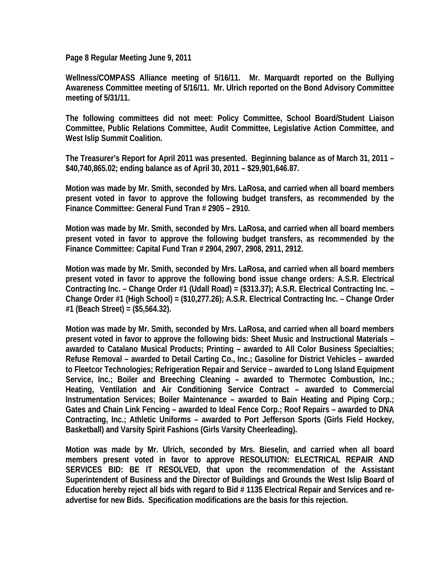**Page 8 Regular Meeting June 9, 2011** 

**Wellness/COMPASS Alliance meeting of 5/16/11. Mr. Marquardt reported on the Bullying Awareness Committee meeting of 5/16/11. Mr. Ulrich reported on the Bond Advisory Committee meeting of 5/31/11.** 

**The following committees did not meet: Policy Committee, School Board/Student Liaison Committee, Public Relations Committee, Audit Committee, Legislative Action Committee, and West Islip Summit Coalition.** 

**The Treasurer's Report for April 2011 was presented. Beginning balance as of March 31, 2011 – \$40,740,865.02; ending balance as of April 30, 2011 – \$29,901,646.87.** 

**Motion was made by Mr. Smith, seconded by Mrs. LaRosa, and carried when all board members present voted in favor to approve the following budget transfers, as recommended by the Finance Committee: General Fund Tran # 2905 – 2910.** 

**Motion was made by Mr. Smith, seconded by Mrs. LaRosa, and carried when all board members present voted in favor to approve the following budget transfers, as recommended by the Finance Committee: Capital Fund Tran # 2904, 2907, 2908, 2911, 2912.** 

**Motion was made by Mr. Smith, seconded by Mrs. LaRosa, and carried when all board members present voted in favor to approve the following bond issue change orders: A.S.R. Electrical Contracting Inc. – Change Order #1 (Udall Road) = (\$313.37); A.S.R. Electrical Contracting Inc. – Change Order #1 (High School) = (\$10,277.26); A.S.R. Electrical Contracting Inc. – Change Order #1 (Beach Street) = (\$5,564.32).** 

**Motion was made by Mr. Smith, seconded by Mrs. LaRosa, and carried when all board members present voted in favor to approve the following bids: Sheet Music and Instructional Materials – awarded to Catalano Musical Products; Printing – awarded to All Color Business Specialties; Refuse Removal – awarded to Detail Carting Co., Inc.; Gasoline for District Vehicles – awarded to Fleetcor Technologies; Refrigeration Repair and Service – awarded to Long Island Equipment Service, Inc.; Boiler and Breeching Cleaning – awarded to Thermotec Combustion, Inc.; Heating, Ventilation and Air Conditioning Service Contract – awarded to Commercial Instrumentation Services; Boiler Maintenance – awarded to Bain Heating and Piping Corp.; Gates and Chain Link Fencing – awarded to Ideal Fence Corp.; Roof Repairs – awarded to DNA Contracting, Inc.; Athletic Uniforms – awarded to Port Jefferson Sports (Girls Field Hockey, Basketball) and Varsity Spirit Fashions (Girls Varsity Cheerleading).** 

**Motion was made by Mr. Ulrich, seconded by Mrs. Bieselin, and carried when all board members present voted in favor to approve RESOLUTION: ELECTRICAL REPAIR AND SERVICES BID: BE IT RESOLVED, that upon the recommendation of the Assistant Superintendent of Business and the Director of Buildings and Grounds the West Islip Board of Education hereby reject all bids with regard to Bid # 1135 Electrical Repair and Services and readvertise for new Bids. Specification modifications are the basis for this rejection.**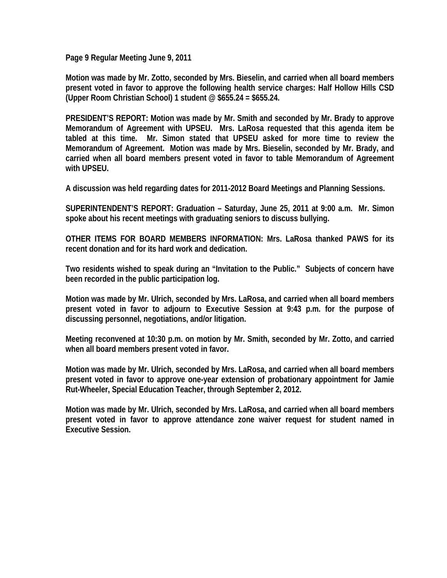**Page 9 Regular Meeting June 9, 2011** 

**Motion was made by Mr. Zotto, seconded by Mrs. Bieselin, and carried when all board members present voted in favor to approve the following health service charges: Half Hollow Hills CSD (Upper Room Christian School) 1 student @ \$655.24 = \$655.24.** 

**PRESIDENT'S REPORT: Motion was made by Mr. Smith and seconded by Mr. Brady to approve Memorandum of Agreement with UPSEU. Mrs. LaRosa requested that this agenda item be tabled at this time. Mr. Simon stated that UPSEU asked for more time to review the Memorandum of Agreement. Motion was made by Mrs. Bieselin, seconded by Mr. Brady, and carried when all board members present voted in favor to table Memorandum of Agreement with UPSEU.** 

**A discussion was held regarding dates for 2011-2012 Board Meetings and Planning Sessions.** 

**SUPERINTENDENT'S REPORT: Graduation – Saturday, June 25, 2011 at 9:00 a.m. Mr. Simon spoke about his recent meetings with graduating seniors to discuss bullying.** 

**OTHER ITEMS FOR BOARD MEMBERS INFORMATION: Mrs. LaRosa thanked PAWS for its recent donation and for its hard work and dedication.** 

**Two residents wished to speak during an "Invitation to the Public." Subjects of concern have been recorded in the public participation log.** 

**Motion was made by Mr. Ulrich, seconded by Mrs. LaRosa, and carried when all board members present voted in favor to adjourn to Executive Session at 9:43 p.m. for the purpose of discussing personnel, negotiations, and/or litigation.** 

**Meeting reconvened at 10:30 p.m. on motion by Mr. Smith, seconded by Mr. Zotto, and carried when all board members present voted in favor.** 

**Motion was made by Mr. Ulrich, seconded by Mrs. LaRosa, and carried when all board members present voted in favor to approve one-year extension of probationary appointment for Jamie Rut-Wheeler, Special Education Teacher, through September 2, 2012.** 

**Motion was made by Mr. Ulrich, seconded by Mrs. LaRosa, and carried when all board members present voted in favor to approve attendance zone waiver request for student named in Executive Session.**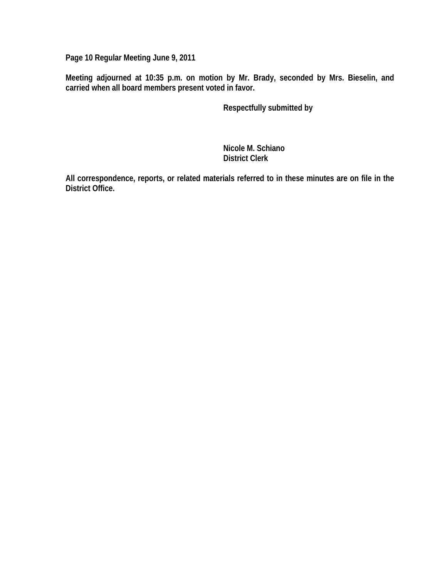**Page 10 Regular Meeting June 9, 2011** 

**Meeting adjourned at 10:35 p.m. on motion by Mr. Brady, seconded by Mrs. Bieselin, and carried when all board members present voted in favor.** 

 **Respectfully submitted by** 

 **Nicole M. Schiano District Clerk** 

**All correspondence, reports, or related materials referred to in these minutes are on file in the District Office.**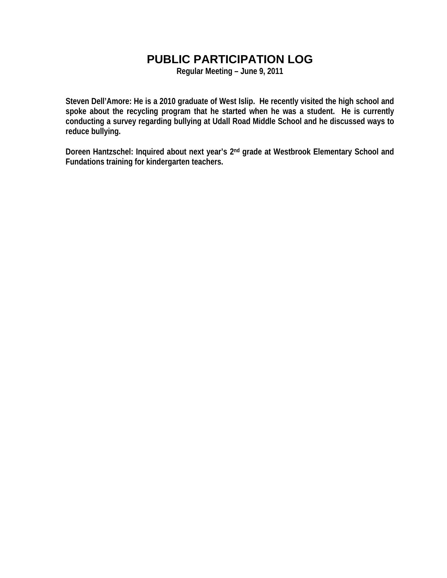# **PUBLIC PARTICIPATION LOG**

**Regular Meeting – June 9, 2011** 

**Steven Dell'Amore: He is a 2010 graduate of West Islip. He recently visited the high school and spoke about the recycling program that he started when he was a student. He is currently conducting a survey regarding bullying at Udall Road Middle School and he discussed ways to reduce bullying.** 

**Doreen Hantzschel: Inquired about next year's 2nd grade at Westbrook Elementary School and Fundations training for kindergarten teachers.**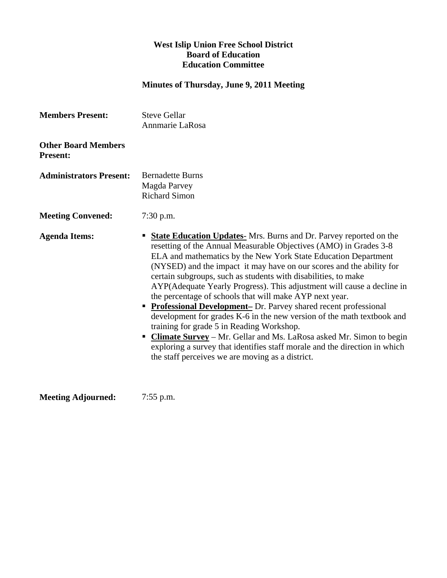## **West Islip Union Free School District Board of Education Education Committee**

## **Minutes of Thursday, June 9, 2011 Meeting**

| <b>Members Present:</b>                       | <b>Steve Gellar</b><br>Annmarie LaRosa                                                                                                                                                                                                                                                                                                                                                                                                                                                                                                                                                                                                                                                                                                                                                                                                                                                                           |
|-----------------------------------------------|------------------------------------------------------------------------------------------------------------------------------------------------------------------------------------------------------------------------------------------------------------------------------------------------------------------------------------------------------------------------------------------------------------------------------------------------------------------------------------------------------------------------------------------------------------------------------------------------------------------------------------------------------------------------------------------------------------------------------------------------------------------------------------------------------------------------------------------------------------------------------------------------------------------|
| <b>Other Board Members</b><br><b>Present:</b> |                                                                                                                                                                                                                                                                                                                                                                                                                                                                                                                                                                                                                                                                                                                                                                                                                                                                                                                  |
| <b>Administrators Present:</b>                | <b>Bernadette Burns</b><br>Magda Parvey<br><b>Richard Simon</b>                                                                                                                                                                                                                                                                                                                                                                                                                                                                                                                                                                                                                                                                                                                                                                                                                                                  |
| <b>Meeting Convened:</b>                      | $7:30$ p.m.                                                                                                                                                                                                                                                                                                                                                                                                                                                                                                                                                                                                                                                                                                                                                                                                                                                                                                      |
| <b>Agenda Items:</b>                          | <b>State Education Updates-</b> Mrs. Burns and Dr. Parvey reported on the<br>ш<br>resetting of the Annual Measurable Objectives (AMO) in Grades 3-8<br>ELA and mathematics by the New York State Education Department<br>(NYSED) and the impact it may have on our scores and the ability for<br>certain subgroups, such as students with disabilities, to make<br>AYP(Adequate Yearly Progress). This adjustment will cause a decline in<br>the percentage of schools that will make AYP next year.<br><b>Professional Development-</b> Dr. Parvey shared recent professional<br>development for grades K-6 in the new version of the math textbook and<br>training for grade 5 in Reading Workshop.<br>" Climate Survey - Mr. Gellar and Ms. LaRosa asked Mr. Simon to begin<br>exploring a survey that identifies staff morale and the direction in which<br>the staff perceives we are moving as a district. |

**Meeting Adjourned:** 7:55 p.m.